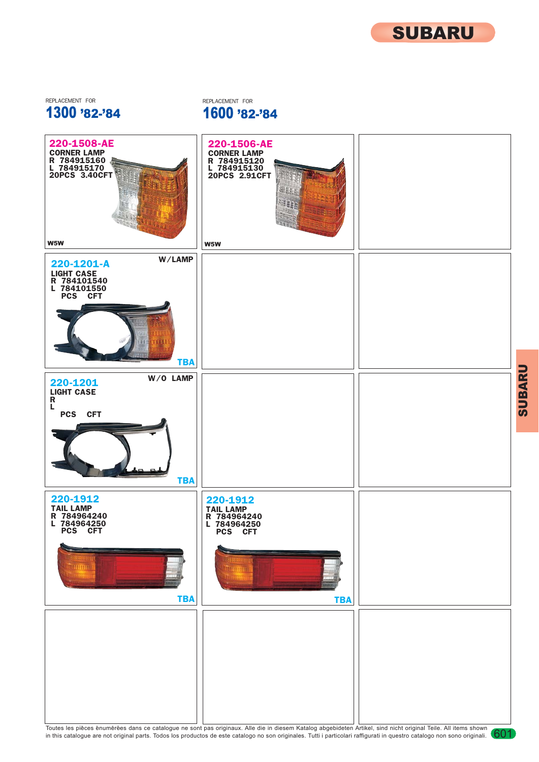

SUBARU

1300 '82-'84 REPLACEMENT FOR **REPLACEMENT FOR** 

1600 '82-'84



Toutes les pièces enumérées dans ce catalogue ne sont pas originaux. Alle die in diesem Katalog abgebideten Artikel, sind nicht original Teile. All items shown (601<br>in this catalogue are not original parts. Todos los produ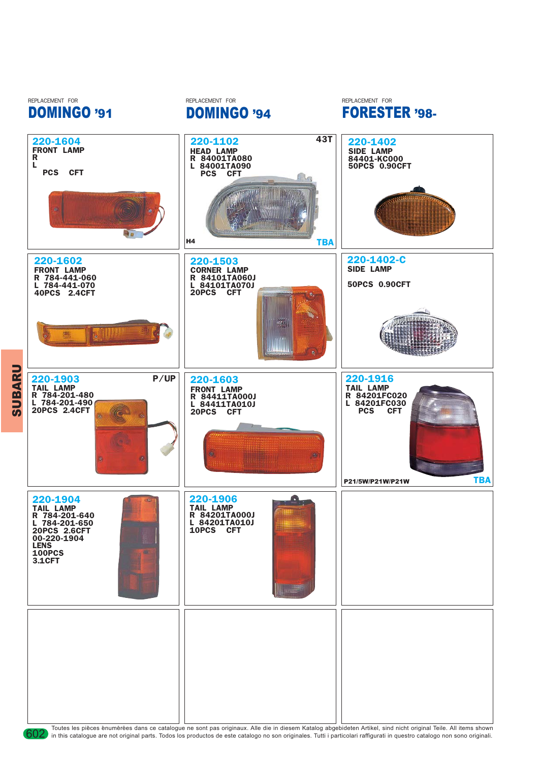

Toutes les pièces enumérées dans ce catalogue ne sont pas originaux. Alle die in diesem Katalog abgebideten Artikel, sind nicht original Teile. All items shown and to the shown in this catalogue are not original parts. Tod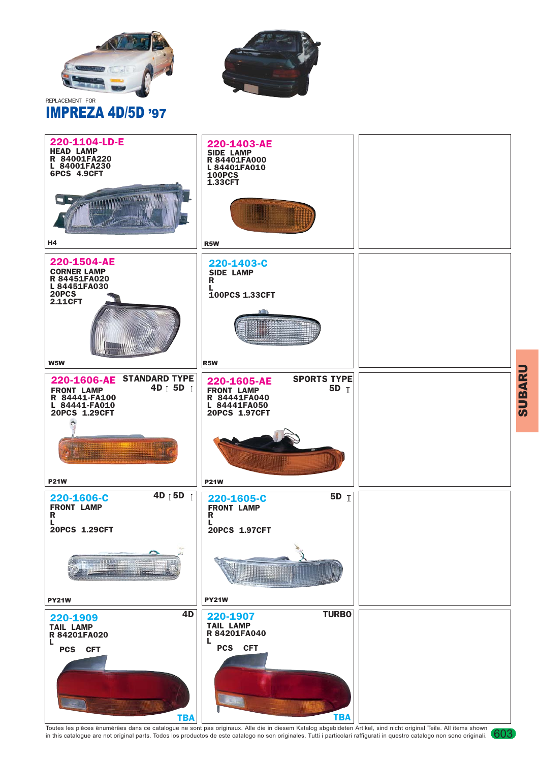





Toutes les pièces enumérées dans ce catalogue ne sont pas originaux. Alle die in diesem Katalog abgebideten Artikel, sind nicht original Teile. All items shown (603<br>in this catalogue are not original parts. Todos los produ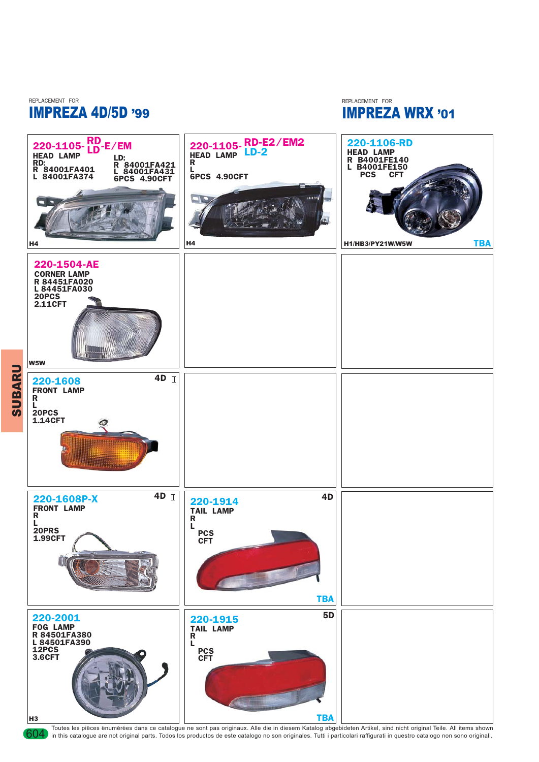REPLACEMENT FOR REPLACEMENT FOR IMPREZA 4D/5D '99

IMPREZA WRX '01



Toutes les pièces enumérées dans ce catalogue ne sont pas originaux. Alle die in diesem Katalog abgebideten Artikel, sind nicht original Teile. All items shown original Teile. All items shown in this catalogue are not orig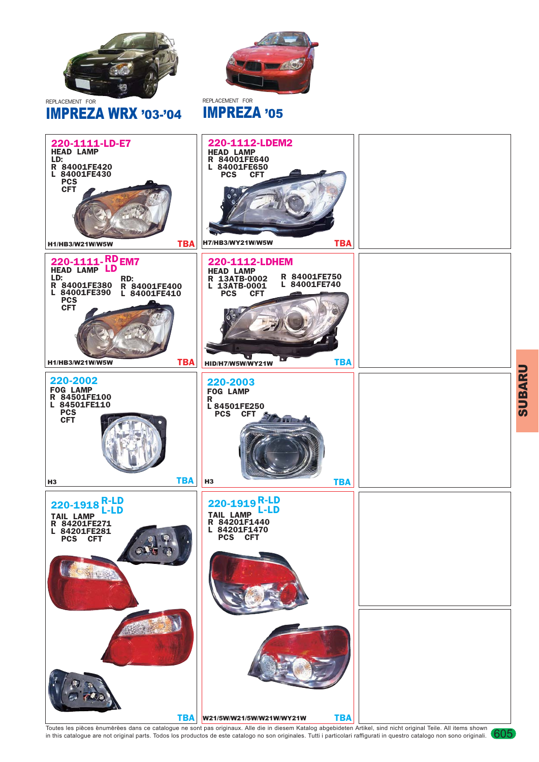

IMPREZA WRX '03-'04

REPLACEMENT FOR

## IMPREZA '05



Toutes les pièces enumérées dans ce catalogue ne sont pas originaux. Alle die in diesem Katalog abgebideten Artikel, sind nicht original Teile. All items shown (605<br>in this catalogue are not original parts. Todos los produ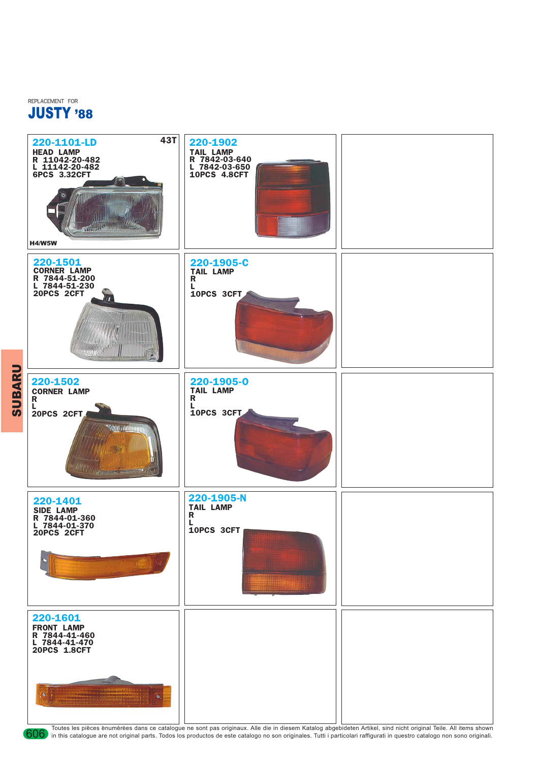

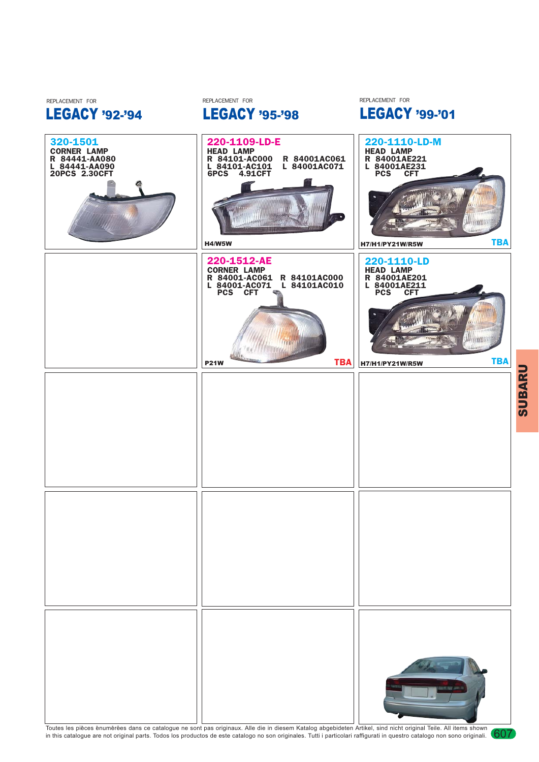

LEGACY '95-'98

REPLACEMENT FOR

LEGACY '92-'94

REPLACEMENT FOR

LEGACY '99-'01 REPLACEMENT FOR

iin

lim

Toutes les pièces enumérées dans ce catalogue ne sont pas originaux. Alle die in diesem Katalog abgebideten Artikel, sind nicht original Teile. All items shown (607<br>in this catalogue are not original parts. Todos los produ

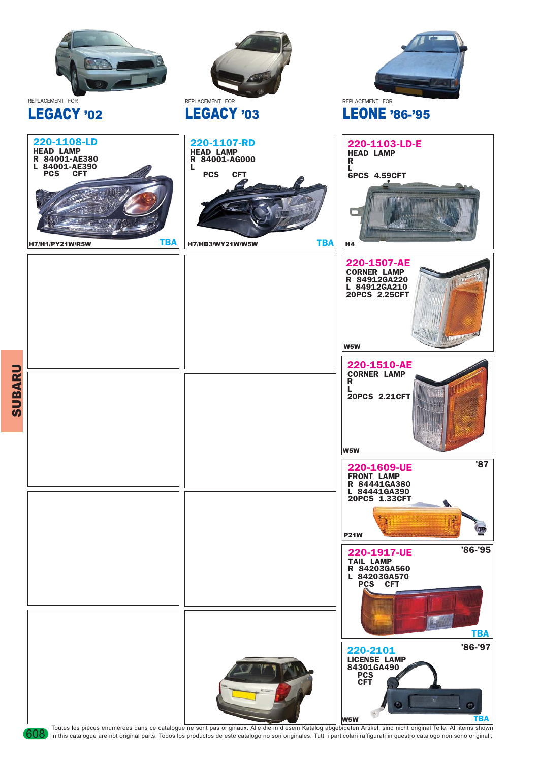

**SUBARU** SUBARU

Toutes les pièces enumérées dans ce catalogue ne sont pas originaux. Alle die in diesem Katalog abgebideten Artikel, sind nicht original Teile. All items shown original Teile. All items shown and by the shown or catalogue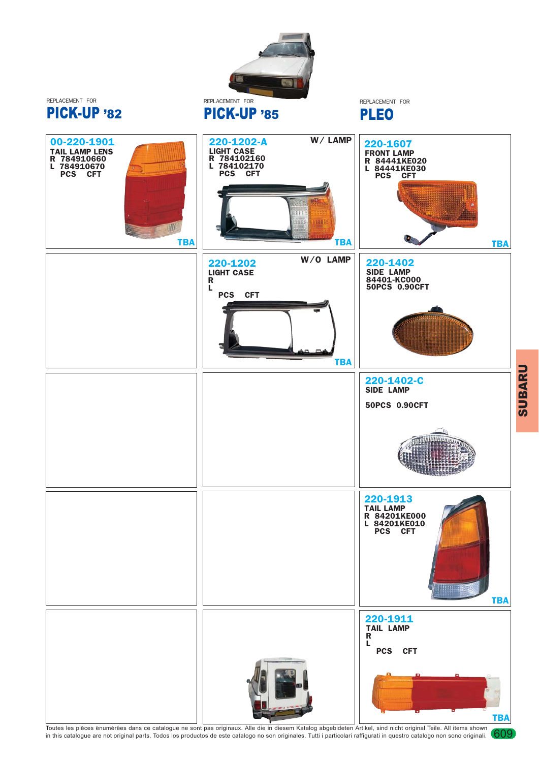

Toutes les pièces enumérées dans ce catalogue ne sont pas originaux. Alle die in diesem Katalog abgebideten Artikel, sind nicht original Teile. All items shown (609<br>in this catalogue are not original parts. Todos los produ

**SUBARU** SUBARU